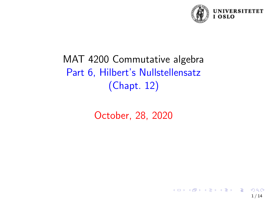

# MAT 4200 Commutative algebra Part 6, Hilbert's Nullstellensatz (Chapt. 12)

October, 28, 2020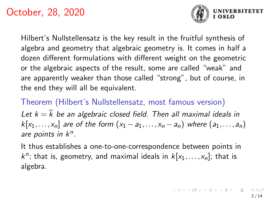

**UNIVERSITETET** 

Hilbert's Nullstellensatz is the key result in the fruitful synthesis of algebra and geometry that algebraic geometry is. It comes in half a dozen different formulations with different weight on the geometric or the algebraic aspects of the result, some are called "weak" and are apparently weaker than those called "strong", but of course, in the end they will all be equivalent.

Theorem (Hilbert's Nullstellensatz, most famous version) Let  $k = \overline{k}$  be an algebraic closed field. Then all maximal ideals in  $k[x_1,...,x_n]$  are of the form  $(x_1-a_1,...,x_n-a_n)$  where  $(a_1,...,a_n)$ are points in  $k<sup>n</sup>$ .

It thus establishes a one-to-one-correspondence between points in  $k^n$ ; that is, geometry, and maximal ideals in  $k[x_1,\ldots,x_n]$ ; that is algebra.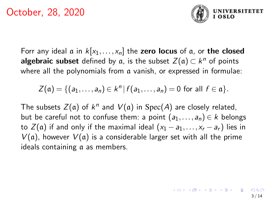

Forr any ideal  $\alpha$  in  $k[x_1,...,x_n]$  the zero locus of  $\alpha$ , or the closed algebraic subset defined by a, is the subset  $Z(\mathfrak{a}) \subset k^n$  of points where all the polynomials from a vanish, or expressed in formulae:

$$
Z(\mathfrak{a}) = \{ (a_1,\ldots,a_n) \in k^n \, | \, f(a_1,\ldots,a_n) = 0 \text{ for all } f \in \mathfrak{a} \}.
$$

The subsets  $Z(\mathfrak{a})$  of  $k^n$  and  $V(\mathfrak{a})$  in  $\mathrm{Spec}(A)$  are closely related, but be careful not to confuse them: a point  $(a_1,...,a_n) \in k$  belongs to  $Z(\mathfrak{a})$  if and only if the maximal ideal  $(x_1 - a_1, \ldots, x_r - a_r)$  lies in  $V(a)$ , however  $V(a)$  is a considerable larger set with all the prime ideals containing a as members.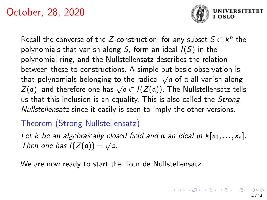

Recall the converse of the Z-construction: for any subset  $S \subset k^n$  the polynomials that vanish along S, form an ideal  $I(S)$  in the polynomial ring, and the Nullstellensatz describes the relation between these to constructions. A simple but basic observation is that polynomials belonging to the radical  $\sqrt{a}$  of a all vanish along  $Z(a)$ , and therefore one has  $\sqrt{a} \subset I(Z(a))$ . The Nullstellensatz tells us that this inclusion is an equality. This is also called the *Strong* Nullstellensatz since it easily is seen to imply the other versions.

## Theorem (Strong Nullstellensatz)

Let k be an algebraically closed field and  $\alpha$  an ideal in  $k[x_1,...,x_n]$ . Let *K* be an algebraically close<br>Then one has  $I(Z(\mathfrak{a})) = \sqrt{\mathfrak{a}}$ .

We are now ready to start the Tour de Nullstellensatz.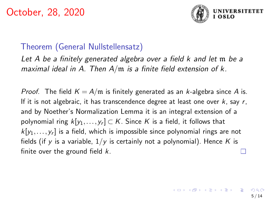

#### Theorem (General Nullstellensatz)

Let A be a finitely generated algebra over a field k and let m be a maximal ideal in A. Then  $A/m$  is a finite field extension of  $k$ .

*Proof.* The field  $K = A/m$  is finitely generated as an k-algebra since A is. If it is not algebraic, it has transcendence degree at least one over  $k$ , say  $r$ , and by Noether's Normalization Lemma it is an integral extension of a polynomial ring  $k[y_1,\ldots,y_r]\subset \mathcal{K}.$  Since  $\mathcal K$  is a field, it follows that  $k[y_1,...,y_r]$  is a field, which is impossible since polynomial rings are not fields (if y is a variable,  $1/y$  is certainly not a polynomial). Hence K is finite over the ground field  $k$ .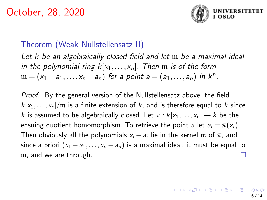

### Theorem (Weak Nullstellensatz II)

Let k be an algebraically closed field and let m be a maximal ideal in the polynomial ring  $k[x_1,...,x_n]$ . Then m is of the form  $\mathfrak{m} = (x_1 - a_1, \ldots, x_n - a_n)$  for a point  $a = (a_1, \ldots, a_n)$  in  $k^n$ .

Proof. By the general version of the Nullstellensatz above, the field  $k[x_1,\ldots,x_r]/\mathfrak{m}$  is a finite extension of  $k$ , and is therefore equal to  $k$  since k is assumed to be algebraically closed. Let  $\pi : k[x_1,...,x_n] \rightarrow k$  be the ensuing quotient homomorphism. To retrieve the point a let  $a_i = \pi(x_i)$ . Then obviously all the polynomials  $x_i - a_i$  lie in the kernel  $\mathfrak m$  of  $\pi$ , and since a priori  $(x_1 - a_1, ..., x_n - a_n)$  is a maximal ideal, it must be equal to m, and we are through.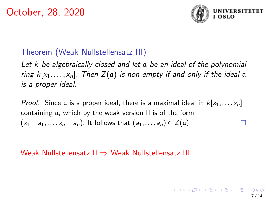

### Theorem (Weak Nullstellensatz III)

Let k be algebraically closed and let  $\alpha$  be an ideal of the polynomial ring  $k[x_1,...,x_n]$ . Then  $Z(\mathfrak{a})$  is non-empty if and only if the ideal  $\mathfrak{a}$ is a proper ideal.

*Proof.* Since a is a proper ideal, there is a maximal ideal in  $k[x_1,...,x_n]$ containing a, which by the weak version II is of the form  $(x_1 - a_1, \ldots, x_n - a_n)$ . It follows that  $(a_1, \ldots, a_n) \in Z(\mathfrak{a})$ . П

#### Weak Nullstellensatz II ⇒ Weak Nullstellensatz III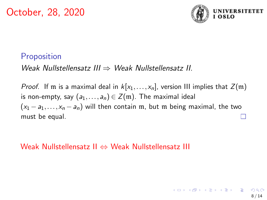

8 / 14

## **Proposition**

Weak Nullstellensatz III ⇒ Weak Nullstellensatz II.

*Proof.* If m is a maximal deal in  $k[x_1,...,x_n]$ , version III implies that  $Z(\mathfrak{m})$ is non-empty, say  $(a_1,...,a_n) \in Z(\mathfrak{m})$ . The maximal ideal  $(x_1 - a_1,...,x_n - a_n)$  will then contain m, but m being maximal, the two must be equal.

Weak Nullstellensatz II ⇔ Weak Nullstellensatz III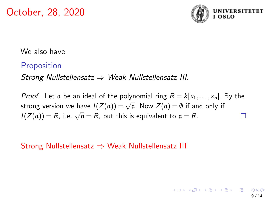

We also have

## **Proposition**

Strong Nullstellensatz  $\Rightarrow$  Weak Nullstellensatz III.

*Proof.* Let a be an ideal of the polynomial ring  $R = k[x_1,...,x_n]$ . By the strong version we have  $I(Z(a)) = \sqrt{a}$ . Now  $Z(a) = \emptyset$  if and only if  $I(Z(\mathfrak{a})) = R$ , i.e.  $\sqrt{\mathfrak{a}} = R$ , but this is equivalent to  $\mathfrak{a} = R$ . П

Strong Nullstellensatz  $\Rightarrow$  Weak Nullstellensatz III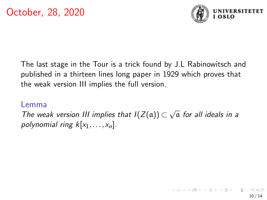

The last stage in the Tour is a trick found by J.L Rabinowitsch and published in a thirteen lines long paper in 1929 which proves that the weak version III implies the full version.

#### Lemma

The weak version III implies that  $I(Z(\mathfrak{a})) \subset$ √ a for all ideals in a polynomial ring  $k[x_1,...,x_n]$ .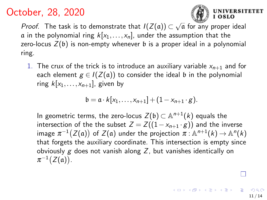

**IVERSITETET** 

<span id="page-10-0"></span>*Proof*. The task is to demonstrate that  $I(Z(\mathfrak{a})) \subset \sqrt{\mathfrak{a}}$  for any proper ideal a in the polynomial ring  $k[x_1,...,x_n]$ , under the assumption that the zero-locus  $Z(\mathfrak{b})$  is non-empty whenever  $\mathfrak b$  is a proper ideal in a polynomial ring.

1. The crux of the trick is to introduce an auxiliary variable  $x_{n+1}$  and for each element  $g \in I(Z(\mathfrak{a}))$  to consider the ideal b in the polynomial ring  $k[x_1,\ldots,x_{n+1}]$ , given by

$$
\mathfrak{b}=\mathfrak{a}\cdot k[x_1,\ldots,x_{n+1}]+(1-x_{n+1}\cdot g).
$$

In geometric terms, the zero-locus  $Z(\mathfrak{b}) \subset \mathbb{A}^{n+1}(k)$  equals the intersection of the the subset  $Z = Z((1-x_{n+1} \cdot g))$  and the inverse image  $\pi^{-1}\big(Z(\mathfrak{a})\big)$  of  $Z(\mathfrak{a})$  under the projection  $\pi$  :  $\mathbb{A}^{n+1}(k) \to \mathbb{A}^n(k)$ that forgets the auxiliary coordinate. This intersection is empty since obviously  $g$  does not vanish along  $Z$ , but vanishes identically on  $\pi^{-1}(Z(\mathfrak{a}))$ .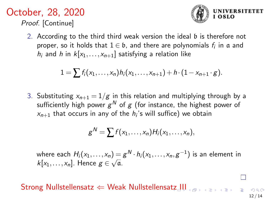October, 28, 2020 Proof. [Continue]



2. According to the third third weak version the ideal b is therefore not proper, so it holds that  $1 \in \mathfrak{b}$ , and there are polynomials  $f_i$  in  $\mathfrak a$  and  $h_i$  and h in  $k[x_1,...,x_{n+1}]$  satisfying a relation like

$$
1 = \sum f_i(x_1, \ldots, x_n) h_i(x_1, \ldots, x_{n+1}) + h \cdot (1 - x_{n+1} \cdot g).
$$

3. Substituting  $x_{n+1} = 1/g$  in this relation and multiplying through by a sufficiently high power  $g^{\,N}$  of  $g$  (for instance, the highest power of  $x_{n+1}$  that occurs in any of the  $h_i$ 's will suffice) we obtain

$$
g^N=\sum f(x_1,\ldots,x_n)H_i(x_1,\ldots,x_n),
$$

where each  $H_i(x_1,\ldots,x_n)=g^N\cdot h_i(x_1,\ldots,x_n,g^{-1})$  is an element in where each  $H_i(x_1,...,x_n) = k[x_1,...,x_n]$ . Hence  $g \in \sqrt{a}$ .

Strong Nullstellensa[tz](#page-10-0)  $\Leftarrow$  Weak Nullstellensatz [III](#page-12-0)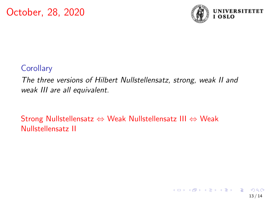

## <span id="page-12-0"></span>**Corollary**

The three versions of Hilbert Nullstellensatz, strong, weak II and weak III are all equivalent.

Strong Nullstellensatz ⇔ Weak Nullstellensatz III ⇔ Weak Nullstellensatz II